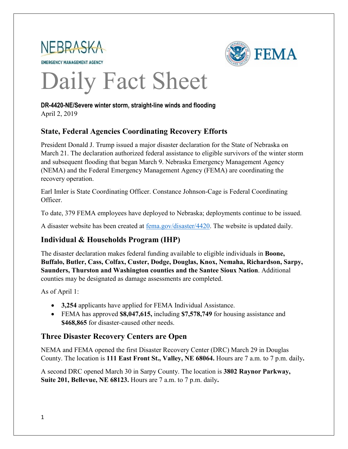



# Daily Fact Sheet

**DR-4420-NE/Severe winter storm, straight-line winds and flooding** April 2, 2019

## **State, Federal Agencies Coordinating Recovery Efforts**

President Donald J. Trump issued a major disaster declaration for the State of Nebraska on March 21. The declaration authorized federal assistance to eligible survivors of the winter storm and subsequent flooding that began March 9. Nebraska Emergency Management Agency (NEMA) and the Federal Emergency Management Agency (FEMA) are coordinating the recovery operation.

Earl Imler is State Coordinating Officer. Constance Johnson-Cage is Federal Coordinating Officer.

To date, 379 FEMA employees have deployed to Nebraska; deployments continue to be issued.

A disaster website has been created at [fema.gov/disaster/4420.](https://www.fema.gov/disaster/4420) The website is updated daily.

# **Individual & Households Program (IHP)**

The disaster declaration makes federal funding available to eligible individuals in **Boone, Buffalo, Butler, Cass, Colfax, Custer, Dodge, Douglas, Knox, Nemaha, Richardson, Sarpy, Saunders, Thurston and Washington counties and the Santee Sioux Nation**. Additional counties may be designated as damage assessments are completed.

As of April 1:

- **3,254** applicants have applied for FEMA Individual Assistance.
- FEMA has approved **\$8,047,615,** including **\$7,578,749** for housing assistance and **\$468,865** for disaster-caused other needs.

## **Three Disaster Recovery Centers are Open**

NEMA and FEMA opened the first Disaster Recovery Center (DRC) March 29 in Douglas County. The location is **111 East Front St., Valley, NE 68064.** Hours are 7 a.m. to 7 p.m. daily**.**

A second DRC opened March 30 in Sarpy County. The location is **3802 Raynor Parkway, Suite 201, Bellevue, NE 68123.** Hours are 7 a.m. to 7 p.m. daily**.**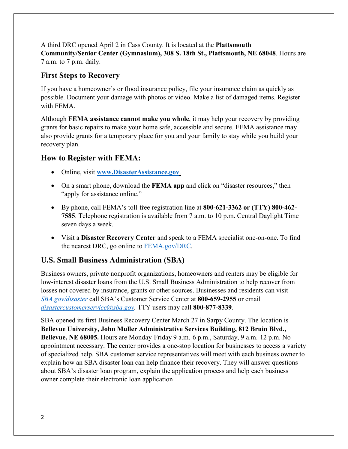A third DRC opened April 2 in Cass County. It is located at the **Plattsmouth Community/Senior Center (Gymnasium), 308 S. 18th St., Plattsmouth, NE 68048**. Hours are 7 a.m. to 7 p.m. daily.

#### **First Steps to Recovery**

If you have a homeowner's or flood insurance policy, file your insurance claim as quickly as possible. Document your damage with photos or video. Make a list of damaged items. Register with FEMA.

Although **FEMA assistance cannot make you whole**, it may help your recovery by providing grants for basic repairs to make your home safe, accessible and secure. FEMA assistance may also provide grants for a temporary place for you and your family to stay while you build your recovery plan.

#### **How to Register with FEMA:**

- Online, visit **[www.DisasterAssistance.gov](http://www.disasterassistance.gov/)**.
- On a smart phone, download the **FEMA app** and click on "disaster resources," then "apply for assistance online."
- By phone, call FEMA's toll-free registration line at **800-621-3362 or (TTY) 800-462- 7585**. Telephone registration is available from 7 a.m. to 10 p.m. Central Daylight Time seven days a week.
- Visit a **Disaster Recovery Center** and speak to a FEMA specialist one-on-one. To find the nearest DRC, go online to [FEMA.gov/DRC.](https://www.fema.gov/disaster-recovery-centers)

### **U.S. Small Business Administration (SBA)**

Business owners, private nonprofit organizations, homeowners and renters may be eligible for low-interest disaster loans from the U.S. Small Business Administration to help recover from losses not covered by insurance, grants or other sources. Businesses and residents can visit *[SBA.gov/disaster](http://www.sba.gov/disaster)* call SBA's Customer Service Center at **800-659-2955** or email *[disastercustomerservice@sba.gov.](mailto:disastercustomerservice@sba.gov)* TTY users may call **800-877-8339**.

SBA opened its first Business Recovery Center March 27 in Sarpy County. The location is **Bellevue University, John Muller Administrative Services Building, 812 Bruin Blvd., Bellevue, NE 68005.** Hours are Monday-Friday 9 a.m.-6 p.m., Saturday, 9 a.m.-12 p.m. No appointment necessary. The center provides a one-stop location for businesses to access a variety of specialized help. SBA customer service representatives will meet with each business owner to explain how an SBA disaster loan can help finance their recovery. They will answer questions about SBA's disaster loan program, explain the application process and help each business owner complete their electronic loan application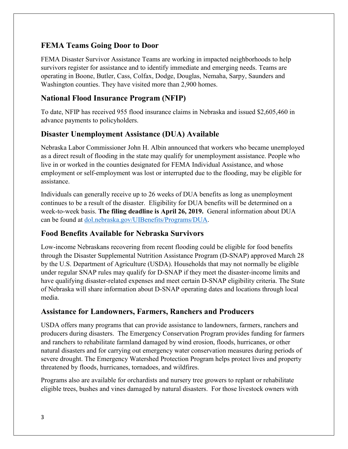## **FEMA Teams Going Door to Door**

FEMA Disaster Survivor Assistance Teams are working in impacted neighborhoods to help survivors register for assistance and to identify immediate and emerging needs. Teams are operating in Boone, Butler, Cass, Colfax, Dodge, Douglas, Nemaha, Sarpy, Saunders and Washington counties. They have visited more than 2,900 homes.

## **National Flood Insurance Program (NFIP)**

To date, NFIP has received 955 flood insurance claims in Nebraska and issued \$2,605,460 in advance payments to policyholders.

## **Disaster Unemployment Assistance (DUA) Available**

Nebraska Labor Commissioner John H. Albin announced that workers who became unemployed as a direct result of flooding in the state may qualify for unemployment assistance. People who live in or worked in the counties designated for FEMA Individual Assistance, and whose employment or self-employment was lost or interrupted due to the flooding, may be eligible for assistance.

Individuals can generally receive up to 26 weeks of DUA benefits as long as unemployment continues to be a result of the disaster. Eligibility for DUA benefits will be determined on a week-to-week basis. **The filing deadline is April 26, 2019.** General information about DUA can be found at [dol.nebraska.gov/UIBenefits/Programs/DUA.](https://dol.nebraska.gov/UIBenefits/Programs/DUA)

### **Food Benefits Available for Nebraska Survivors**

Low-income Nebraskans recovering from recent flooding could be eligible for food benefits through the Disaster Supplemental Nutrition Assistance Program (D-SNAP) approved March 28 by the U.S. Department of Agriculture (USDA). Households that may not normally be eligible under regular SNAP rules may qualify for D-SNAP if they meet the disaster-income limits and have qualifying disaster-related expenses and meet certain D-SNAP eligibility criteria. The State of Nebraska will share information about D-SNAP operating dates and locations through local media.

### **Assistance for Landowners, Farmers, Ranchers and Producers**

USDA offers many programs that can provide assistance to landowners, farmers, ranchers and producers during disasters. The Emergency Conservation Program provides funding for farmers and ranchers to rehabilitate farmland damaged by wind erosion, floods, hurricanes, or other natural disasters and for carrying out emergency water conservation measures during periods of severe drought. The Emergency Watershed Protection Program helps protect lives and property threatened by floods, hurricanes, tornadoes, and wildfires.

Programs also are available for orchardists and nursery tree growers to replant or rehabilitate eligible trees, bushes and vines damaged by natural disasters. For those livestock owners with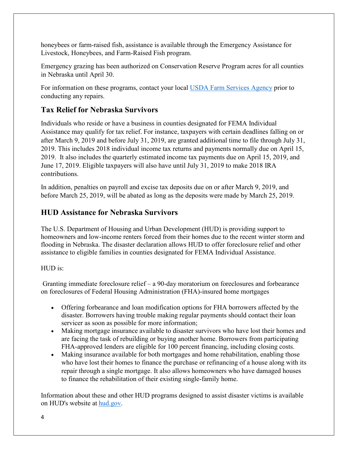honeybees or farm-raised fish, assistance is available through the Emergency Assistance for Livestock, Honeybees, and Farm-Raised Fish program.

Emergency grazing has been authorized on Conservation Reserve Program acres for all counties in Nebraska until April 30.

For information on these programs, contact your local [USDA Farm Services Agency](https://offices.sc.egov.usda.gov/locator/app?service=page/CountyMap&state=NE&stateName=Nebraska&stateCode=31) prior to conducting any repairs.

## **Tax Relief for Nebraska Survivors**

Individuals who reside or have a business in counties designated for FEMA Individual Assistance may qualify for tax relief. For instance, taxpayers with certain deadlines falling on or after March 9, 2019 and before July 31, 2019, are granted additional time to file through July 31, 2019. This includes 2018 individual income tax returns and payments normally due on April 15, 2019. It also includes the quarterly estimated income tax payments due on April 15, 2019, and June 17, 2019. Eligible taxpayers will also have until July 31, 2019 to make 2018 IRA contributions.

In addition, penalties on payroll and excise tax deposits due on or after March 9, 2019, and before March 25, 2019, will be abated as long as the deposits were made by March 25, 2019.

## **HUD Assistance for Nebraska Survivors**

The U.S. Department of Housing and Urban Development (HUD) is providing support to homeowners and low-income renters forced from their homes due to the recent winter storm and flooding in Nebraska. The disaster declaration allows HUD to offer foreclosure relief and other assistance to eligible families in counties designated for FEMA Individual Assistance.

#### HUD is:

Granting immediate foreclosure relief – a 90-day moratorium on foreclosures and forbearance on foreclosures of Federal Housing Administration (FHA)-insured home mortgages

- Offering forbearance and loan modification options for FHA borrowers affected by the disaster. Borrowers having trouble making regular payments should contact their loan servicer as soon as possible for more information;
- Making mortgage insurance available to disaster survivors who have lost their homes and are facing the task of rebuilding or buying another home. Borrowers from participating FHA-approved lenders are eligible for 100 percent financing, including closing costs.
- Making insurance available for both mortgages and home rehabilitation, enabling those who have lost their homes to finance the purchase or refinancing of a house along with its repair through a single mortgage. It also allows homeowners who have damaged houses to finance the rehabilitation of their existing single-family home.

Information about these and other HUD programs designed to assist disaster victims is available on HUD's website at [hud.gov.](https://www.hud.gov/)